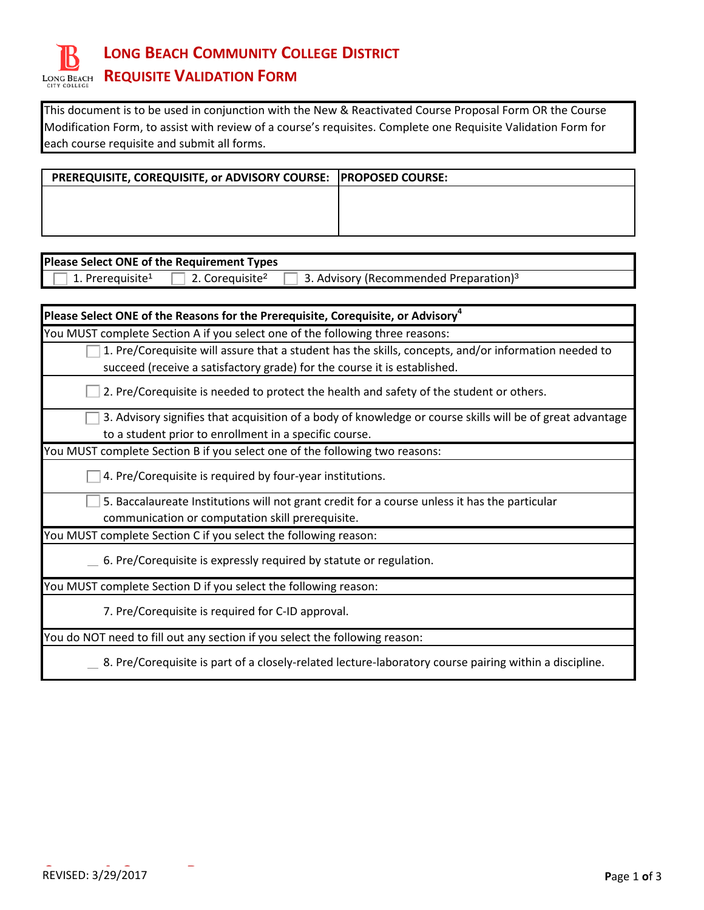

This document is to be used in conjunction with the New & Reactivated Course Proposal Form OR the Course Modification Form, to assist with review of a course's requisites. Complete one Requisite Validation Form for each course requisite and submit all forms.

| PREREQUISITE, COREQUISITE, or ADVISORY COURSE: PROPOSED COURSE: |  |
|-----------------------------------------------------------------|--|
|                                                                 |  |
|                                                                 |  |
|                                                                 |  |

| Please Select ONE of the Requirement Types                                                                        |  |  |
|-------------------------------------------------------------------------------------------------------------------|--|--|
| 3. Advisory (Recommended Preparation) <sup>3</sup><br>1. Prerequisite <sup>1</sup><br>2. Corequisite <sup>2</sup> |  |  |
|                                                                                                                   |  |  |
| Please Select ONE of the Reasons for the Prerequisite, Corequisite, or Advisory <sup>4</sup>                      |  |  |
| You MUST complete Section A if you select one of the following three reasons:                                     |  |  |
| 1. Pre/Corequisite will assure that a student has the skills, concepts, and/or information needed to              |  |  |
| succeed (receive a satisfactory grade) for the course it is established.                                          |  |  |
| 2. Pre/Corequisite is needed to protect the health and safety of the student or others.                           |  |  |
| 3. Advisory signifies that acquisition of a body of knowledge or course skills will be of great advantage         |  |  |
| to a student prior to enrollment in a specific course.                                                            |  |  |
| You MUST complete Section B if you select one of the following two reasons:                                       |  |  |
| 4. Pre/Corequisite is required by four-year institutions.                                                         |  |  |
| 5. Baccalaureate Institutions will not grant credit for a course unless it has the particular                     |  |  |
| communication or computation skill prerequisite.                                                                  |  |  |
| You MUST complete Section C if you select the following reason:                                                   |  |  |
| 6. Pre/Corequisite is expressly required by statute or regulation.                                                |  |  |
| You MUST complete Section D if you select the following reason:                                                   |  |  |
| 7. Pre/Corequisite is required for C-ID approval.                                                                 |  |  |
| You do NOT need to fill out any section if you select the following reason:                                       |  |  |

8. Pre/Corequisite is part of a closely-related lecture-laboratory course pairing within a discipline.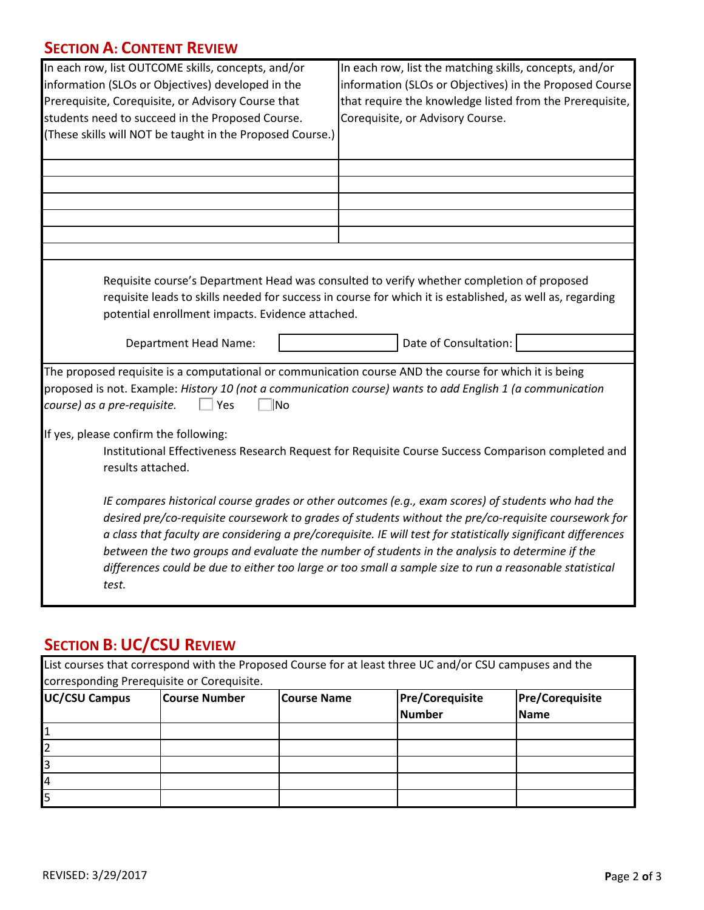## **SECTION A: CONTENT REVIEW**

| In each row, list OUTCOME skills, concepts, and/or<br>information (SLOs or Objectives) developed in the<br>Prerequisite, Corequisite, or Advisory Course that<br>students need to succeed in the Proposed Course.<br>(These skills will NOT be taught in the Proposed Course.)                                                                                                                                                                                                                                                                      | In each row, list the matching skills, concepts, and/or<br>information (SLOs or Objectives) in the Proposed Course<br>that require the knowledge listed from the Prerequisite,<br>Corequisite, or Advisory Course.              |  |  |
|-----------------------------------------------------------------------------------------------------------------------------------------------------------------------------------------------------------------------------------------------------------------------------------------------------------------------------------------------------------------------------------------------------------------------------------------------------------------------------------------------------------------------------------------------------|---------------------------------------------------------------------------------------------------------------------------------------------------------------------------------------------------------------------------------|--|--|
|                                                                                                                                                                                                                                                                                                                                                                                                                                                                                                                                                     |                                                                                                                                                                                                                                 |  |  |
|                                                                                                                                                                                                                                                                                                                                                                                                                                                                                                                                                     |                                                                                                                                                                                                                                 |  |  |
| potential enrollment impacts. Evidence attached.<br><b>Department Head Name:</b>                                                                                                                                                                                                                                                                                                                                                                                                                                                                    | Requisite course's Department Head was consulted to verify whether completion of proposed<br>requisite leads to skills needed for success in course for which it is established, as well as, regarding<br>Date of Consultation: |  |  |
| The proposed requisite is a computational or communication course AND the course for which it is being<br>proposed is not. Example: History 10 (not a communication course) wants to add English 1 (a communication<br>course) as a pre-requisite.<br>$\Box$ Yes<br><b>No</b>                                                                                                                                                                                                                                                                       |                                                                                                                                                                                                                                 |  |  |
| If yes, please confirm the following:<br>Institutional Effectiveness Research Request for Requisite Course Success Comparison completed and<br>results attached.                                                                                                                                                                                                                                                                                                                                                                                    |                                                                                                                                                                                                                                 |  |  |
| IE compares historical course grades or other outcomes (e.g., exam scores) of students who had the<br>desired pre/co-requisite coursework to grades of students without the pre/co-requisite coursework for<br>a class that faculty are considering a pre/corequisite. IE will test for statistically significant differences<br>between the two groups and evaluate the number of students in the analysis to determine if the<br>differences could be due to either too large or too small a sample size to run a reasonable statistical<br>test. |                                                                                                                                                                                                                                 |  |  |

## **SECTION B: UC/CSU REVIEW**

| List courses that correspond with the Proposed Course for at least three UC and/or CSU campuses and the |                |             |                        |                        |  |
|---------------------------------------------------------------------------------------------------------|----------------|-------------|------------------------|------------------------|--|
| corresponding Prerequisite or Corequisite.                                                              |                |             |                        |                        |  |
| <b>UC/CSU Campus</b>                                                                                    | lCourse Number | Course Name | <b>Pre/Corequisite</b> | <b>Pre/Corequisite</b> |  |
|                                                                                                         |                |             | Number                 | <b>Name</b>            |  |
|                                                                                                         |                |             |                        |                        |  |
|                                                                                                         |                |             |                        |                        |  |
|                                                                                                         |                |             |                        |                        |  |
| 14                                                                                                      |                |             |                        |                        |  |
|                                                                                                         |                |             |                        |                        |  |